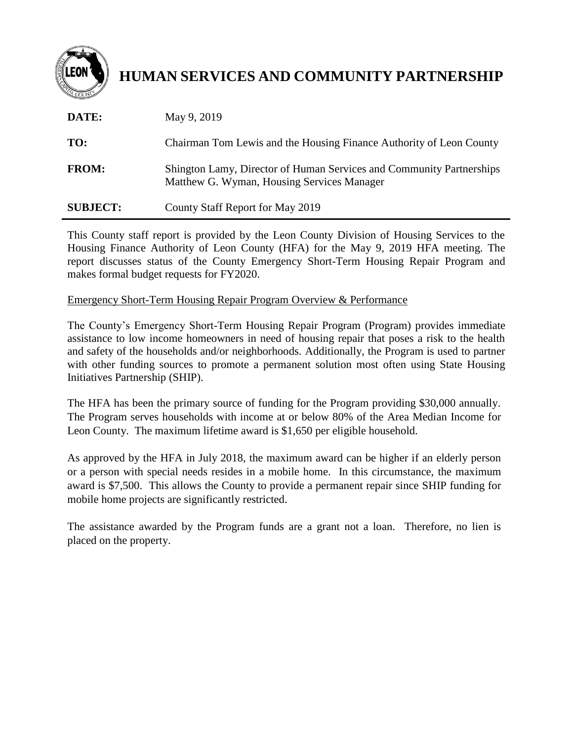

# **HUMAN SERVICES AND COMMUNITY PARTNERSHIP**

| DATE:           | May 9, 2019                                                                                                        |
|-----------------|--------------------------------------------------------------------------------------------------------------------|
| TO:             | Chairman Tom Lewis and the Housing Finance Authority of Leon County                                                |
| <b>FROM:</b>    | Shington Lamy, Director of Human Services and Community Partnerships<br>Matthew G. Wyman, Housing Services Manager |
| <b>SUBJECT:</b> | County Staff Report for May 2019                                                                                   |

This County staff report is provided by the Leon County Division of Housing Services to the Housing Finance Authority of Leon County (HFA) for the May 9, 2019 HFA meeting. The report discusses status of the County Emergency Short-Term Housing Repair Program and makes formal budget requests for FY2020.

#### Emergency Short-Term Housing Repair Program Overview & Performance

The County's Emergency Short-Term Housing Repair Program (Program) provides immediate assistance to low income homeowners in need of housing repair that poses a risk to the health and safety of the households and/or neighborhoods. Additionally, the Program is used to partner with other funding sources to promote a permanent solution most often using State Housing Initiatives Partnership (SHIP).

The HFA has been the primary source of funding for the Program providing \$30,000 annually. The Program serves households with income at or below 80% of the Area Median Income for Leon County. The maximum lifetime award is \$1,650 per eligible household.

As approved by the HFA in July 2018, the maximum award can be higher if an elderly person or a person with special needs resides in a mobile home. In this circumstance, the maximum award is \$7,500. This allows the County to provide a permanent repair since SHIP funding for mobile home projects are significantly restricted.

The assistance awarded by the Program funds are a grant not a loan. Therefore, no lien is placed on the property.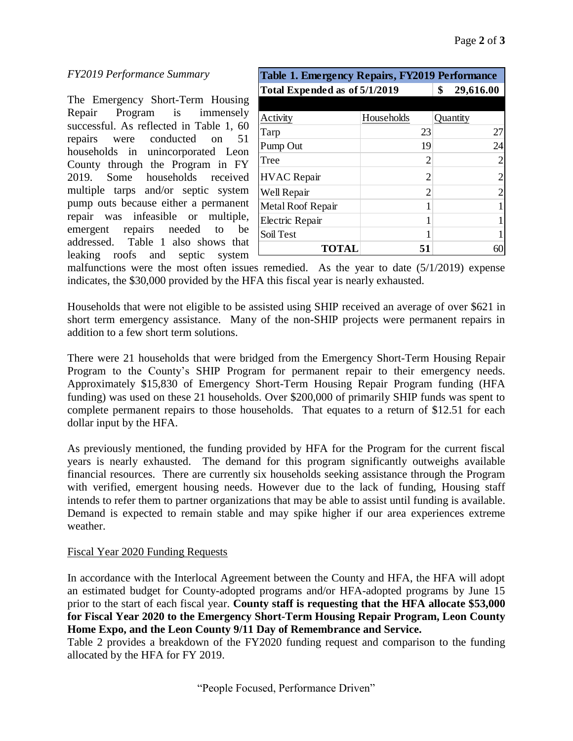## *FY2019 Performance Summary* **Table 1. Emergency Repairs, FY2019 Performance**

The Emergency Short-Term Housing Repair Program is immensely successful. As reflected in Table 1, 60 repairs were conducted on 51 households in unincorporated Leon County through the Program in FY 2019. Some households received multiple tarps and/or septic system pump outs because either a permanent repair was infeasible or multiple, emergent repairs needed to be addressed. Table 1 also shows that leaking roofs and septic system

| Table 1. Emergency Repairs, FY2019 Performance |                 |          |  |  |  |  |
|------------------------------------------------|-----------------|----------|--|--|--|--|
| Total Expended as of 5/1/2019                  | 29,616.00<br>\$ |          |  |  |  |  |
|                                                |                 |          |  |  |  |  |
| Activity                                       | Households      | Quantity |  |  |  |  |
| Tarp                                           | 23              | 27       |  |  |  |  |
| Pump Out                                       | 19              | 24       |  |  |  |  |
| Tree                                           | 2               |          |  |  |  |  |
| <b>HVAC</b> Repair                             | 2               |          |  |  |  |  |
| Well Repair                                    | 2               |          |  |  |  |  |
| Metal Roof Repair                              |                 |          |  |  |  |  |
| Electric Repair                                |                 |          |  |  |  |  |
| Soil Test                                      |                 |          |  |  |  |  |
| TOTAL                                          | 51              |          |  |  |  |  |

malfunctions were the most often issues remedied. As the year to date (5/1/2019) expense indicates, the \$30,000 provided by the HFA this fiscal year is nearly exhausted.

Households that were not eligible to be assisted using SHIP received an average of over \$621 in short term emergency assistance. Many of the non-SHIP projects were permanent repairs in addition to a few short term solutions.

There were 21 households that were bridged from the Emergency Short-Term Housing Repair Program to the County's SHIP Program for permanent repair to their emergency needs. Approximately \$15,830 of Emergency Short-Term Housing Repair Program funding (HFA funding) was used on these 21 households. Over \$200,000 of primarily SHIP funds was spent to complete permanent repairs to those households. That equates to a return of \$12.51 for each dollar input by the HFA.

As previously mentioned, the funding provided by HFA for the Program for the current fiscal years is nearly exhausted. The demand for this program significantly outweighs available financial resources. There are currently six households seeking assistance through the Program with verified, emergent housing needs. However due to the lack of funding, Housing staff intends to refer them to partner organizations that may be able to assist until funding is available. Demand is expected to remain stable and may spike higher if our area experiences extreme weather.

#### Fiscal Year 2020 Funding Requests

In accordance with the Interlocal Agreement between the County and HFA, the HFA will adopt an estimated budget for County-adopted programs and/or HFA-adopted programs by June 15 prior to the start of each fiscal year. **County staff is requesting that the HFA allocate \$53,000 for Fiscal Year 2020 to the Emergency Short-Term Housing Repair Program, Leon County Home Expo, and the Leon County 9/11 Day of Remembrance and Service.**

Table 2 provides a breakdown of the FY2020 funding request and comparison to the funding allocated by the HFA for FY 2019.